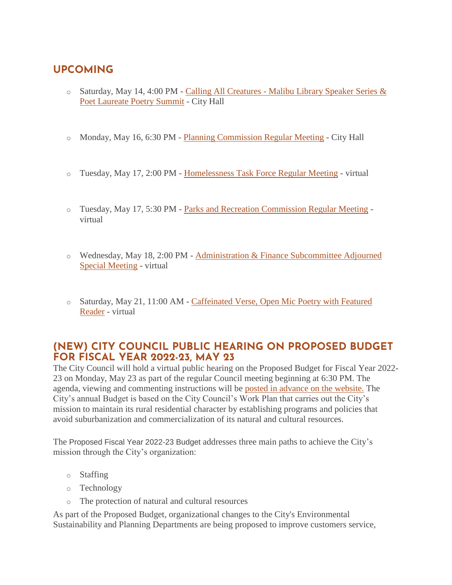# **UPCOMING**

- $\circ$  Saturday, May 14, 4:00 PM Calling All Creatures Malibu Library Speaker Series & [Poet Laureate Poetry Summit](https://www.malibucity.org/Calendar.aspx?EID=6610&month=5&year=2022&day=14&calType=0) - City Hall
- o Monday, May 16, 6:30 PM [Planning Commission Regular Meeting](https://malibucity.org/Calendar.aspx?EID=6693&month=5&year=2022&day=16&calType=0) City Hall
- o Tuesday, May 17, 2:00 PM [Homelessness Task Force Regular Meeting](https://malibucity.org/Calendar.aspx?EID=6230&month=5&year=2022&day=17&calType=0) virtual
- o Tuesday, May 17, 5:30 PM [Parks and Recreation Commission Regular Meeting](https://malibucity.org/Calendar.aspx?EID=6297&month=5&year=2022&day=17&calType=0) virtual
- o Wednesday, May 18, 2:00 PM [Administration & Finance Subcommittee Adjourned](https://malibucity.org/Calendar.aspx?EID=6830&month=5&year=2022&day=18&calType=0)  [Special Meeting](https://malibucity.org/Calendar.aspx?EID=6830&month=5&year=2022&day=18&calType=0) - virtual
- o Saturday, May 21, 11:00 AM [Caffeinated Verse, Open Mic Poetry with Featured](https://malibucity.org/Calendar.aspx?EID=6604&month=5&year=2022&day=21&calType=0)  [Reader](https://malibucity.org/Calendar.aspx?EID=6604&month=5&year=2022&day=21&calType=0) - virtual

# **(NEW) CITY COUNCIL PUBLIC HEARING ON PROPOSED BUDGET FOR FISCAL YEAR 2022-23, MAY 23**

The City Council will hold a virtual public hearing on the Proposed Budget for Fiscal Year 2022- 23 on Monday, May 23 as part of the regular Council meeting beginning at 6:30 PM. The agenda, viewing and commenting instructions will be [posted in advance on the website.](https://www.malibucity.org/virtualmeeting) The City's annual Budget is based on the City Council's Work Plan that carries out the City's mission to maintain its rural residential character by establishing programs and policies that avoid suburbanization and commercialization of its natural and cultural resources.

The Proposed Fiscal Year 2022-23 Budget addresses three main paths to achieve the City's mission through the City's organization:

- o Staffing
- o Technology
- o The protection of natural and cultural resources

As part of the Proposed Budget, organizational changes to the City's Environmental Sustainability and Planning Departments are being proposed to improve customers service,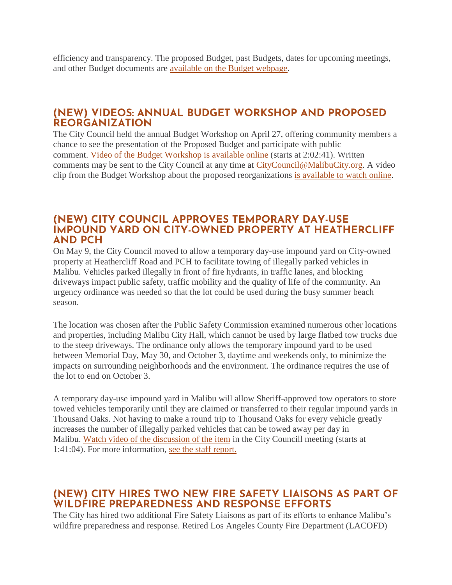efficiency and transparency. The proposed Budget, past Budgets, dates for upcoming meetings, and other Budget documents are [available on the Budget webpage.](https://www.malibucity.org/budget)

### **(NEW) VIDEOS: ANNUAL BUDGET WORKSHOP AND PROPOSED REORGANIZATION**

The City Council held the annual Budget Workshop on April 27, offering community members a chance to see the presentation of the Proposed Budget and participate with public comment. [Video of the Budget Workshop is available online](https://youtu.be/bzS7jBGM-LU?t=7361) (starts at 2:02:41). Written comments may be sent to the City Council at any time at [CityCouncil@MalibuCity.org.](mailto:CityCouncil@MalibuCity.org) A video clip from the Budget Workshop about the proposed reorganizations [is available to watch online.](https://youtu.be/n7cx3gnUokg)

#### **(NEW) CITY COUNCIL APPROVES TEMPORARY DAY-USE IMPOUND YARD ON CITY-OWNED PROPERTY AT HEATHERCLIFF AND PCH**

On May 9, the City Council moved to allow a temporary day-use impound yard on City-owned property at Heathercliff Road and PCH to facilitate towing of illegally parked vehicles in Malibu. Vehicles parked illegally in front of fire hydrants, in traffic lanes, and blocking driveways impact public safety, traffic mobility and the quality of life of the community. An urgency ordinance was needed so that the lot could be used during the busy summer beach season.

The location was chosen after the Public Safety Commission examined numerous other locations and properties, including Malibu City Hall, which cannot be used by large flatbed tow trucks due to the steep driveways. The ordinance only allows the temporary impound yard to be used between Memorial Day, May 30, and October 3, daytime and weekends only, to minimize the impacts on surrounding neighborhoods and the environment. The ordinance requires the use of the lot to end on October 3.

A temporary day-use impound yard in Malibu will allow Sheriff-approved tow operators to store towed vehicles temporarily until they are claimed or transferred to their regular impound yards in Thousand Oaks. Not having to make a round trip to Thousand Oaks for every vehicle greatly increases the number of illegally parked vehicles that can be towed away per day in Malibu. [Watch video of the discussion of the item](https://youtu.be/fdHq8BvNefI?t=6064) in the City Councill meeting (starts at 1:41:04). For more information, [see the staff report.](https://www.malibucity.org/AgendaCenter/ViewFile/Item/5534?fileID=29806)

# **(NEW) CITY HIRES TWO NEW FIRE SAFETY LIAISONS AS PART OF WILDFIRE PREPAREDNESS AND RESPONSE EFFORTS**

The City has hired two additional Fire Safety Liaisons as part of its efforts to enhance Malibu's wildfire preparedness and response. Retired Los Angeles County Fire Department (LACOFD)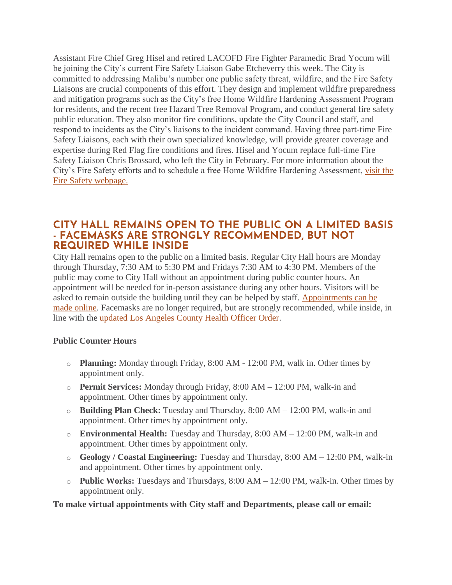Assistant Fire Chief Greg Hisel and retired LACOFD Fire Fighter Paramedic Brad Yocum will be joining the City's current Fire Safety Liaison Gabe Etcheverry this week. The City is committed to addressing Malibu's number one public safety threat, wildfire, and the Fire Safety Liaisons are crucial components of this effort. They design and implement wildfire preparedness and mitigation programs such as the City's free Home Wildfire Hardening Assessment Program for residents, and the recent free Hazard Tree Removal Program, and conduct general fire safety public education. They also monitor fire conditions, update the City Council and staff, and respond to incidents as the City's liaisons to the incident command. Having three part-time Fire Safety Liaisons, each with their own specialized knowledge, will provide greater coverage and expertise during Red Flag fire conditions and fires. Hisel and Yocum replace full-time Fire Safety Liaison Chris Brossard, who left the City in February. For more information about the City's Fire Safety efforts and to schedule a free Home Wildfire Hardening Assessment, [visit the](https://www.malibucity.org/firesafety)  [Fire Safety webpage.](https://www.malibucity.org/firesafety)

#### **CITY HALL REMAINS OPEN TO THE PUBLIC ON A LIMITED BASIS - FACEMASKS ARE STRONGLY RECOMMENDED, BUT NOT REQUIRED WHILE INSIDE**

City Hall remains open to the public on a limited basis. Regular City Hall hours are Monday through Thursday, 7:30 AM to 5:30 PM and Fridays 7:30 AM to 4:30 PM. Members of the public may come to City Hall without an appointment during public counter hours. An appointment will be needed for in-person assistance during any other hours. Visitors will be asked to remain outside the building until they can be helped by staff. [Appointments can be](http://www.malibucity.org/appointments)  [made online.](http://www.malibucity.org/appointments) Facemasks are no longer required, but are strongly recommended, while inside, in line with the [updated Los Angeles County Health Officer Order.](http://publichealth.lacounty.gov/media/Coronavirus/docs/HOO/HOO_SaferReturnWorkCommunity.pdf)

#### **Public Counter Hours**

- o **Planning:** Monday through Friday, 8:00 AM 12:00 PM, walk in. Other times by appointment only.
- o **Permit Services:** Monday through Friday, 8:00 AM 12:00 PM, walk-in and appointment. Other times by appointment only.
- o **Building Plan Check:** Tuesday and Thursday, 8:00 AM 12:00 PM, walk-in and appointment. Other times by appointment only.
- o **Environmental Health:** Tuesday and Thursday, 8:00 AM 12:00 PM, walk-in and appointment. Other times by appointment only.
- o **Geology / Coastal Engineering:** Tuesday and Thursday, 8:00 AM 12:00 PM, walk-in and appointment. Other times by appointment only.
- o **Public Works:** Tuesdays and Thursdays, 8:00 AM 12:00 PM, walk-in. Other times by appointment only.

**To make virtual appointments with City staff and Departments, please call or email:**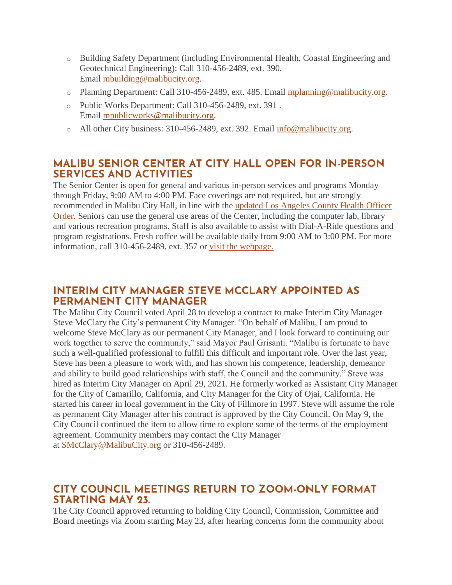- o Building Safety Department (including Environmental Health, Coastal Engineering and Geotechnical Engineering): Call 310-456-2489, ext. 390. Email [mbuilding@malibucity.org.](mailto:mbuilding@malibucity.org)
- o Planning Department: Call 310-456-2489, ext. 485. Email [mplanning@malibucity.org.](mailto:mplanning@malibucity.org)
- o Public Works Department: Call 310-456-2489, ext. 391 . Email [mpublicworks@malibucity.org.](mailto:mpublicworks@malibucity.org)
- o All other City business: 310-456-2489, ext. 392. Email [info@malibucity.org.](mailto:info@malibucity.org)

# **MALIBU SENIOR CENTER AT CITY HALL OPEN FOR IN-PERSON SERVICES AND ACTIVITIES**

The Senior Center is open for general and various in-person services and programs Monday through Friday, 9:00 AM to 4:00 PM. Face coverings are not required, but are strongly recommended in Malibu City Hall, in line with the [updated Los Angeles County Health Officer](http://publichealth.lacounty.gov/media/Coronavirus/docs/HOO/HOO_SaferReturnWorkCommunity.pdf)  [Order.](http://publichealth.lacounty.gov/media/Coronavirus/docs/HOO/HOO_SaferReturnWorkCommunity.pdf) Seniors can use the general use areas of the Center, including the computer lab, library and various recreation programs. Staff is also available to assist with Dial-A-Ride questions and program registrations. Fresh coffee will be available daily from 9:00 AM to 3:00 PM. For more information, call 310-456-2489, ext. 357 or [visit the webpage.](https://www.malibucity.org/seniorcenter)

# **INTERIM CITY MANAGER STEVE MCCLARY APPOINTED AS PERMANENT CITY MANAGER**

The Malibu City Council voted April 28 to develop a contract to make Interim City Manager Steve McClary the City's permanent City Manager. "On behalf of Malibu, I am proud to welcome Steve McClary as our permanent City Manager, and I look forward to continuing our work together to serve the community," said Mayor Paul Grisanti. "Malibu is fortunate to have such a well-qualified professional to fulfill this difficult and important role. Over the last year, Steve has been a pleasure to work with, and has shown his competence, leadership, demeanor and ability to build good relationships with staff, the Council and the community." Steve was hired as Interim City Manager on April 29, 2021. He formerly worked as Assistant City Manager for the City of Camarillo, California, and City Manager for the City of Ojai, California. He started his career in local government in the City of Fillmore in 1997. Steve will assume the role as permanent City Manager after his contract is approved by the City Council. On May 9, the City Council continued the item to allow time to explore some of the terms of the employment agreement. Community members may contact the City Manager at [SMcClary@MalibuCity.org](mailto:SMcClary@MalibuCity.org) or 310-456-2489.

### **CITY COUNCIL MEETINGS RETURN TO ZOOM-ONLY FORMAT STARTING MAY 23.**

The City Council approved returning to holding City Council, Commission, Committee and Board meetings via Zoom starting May 23, after hearing concerns form the community about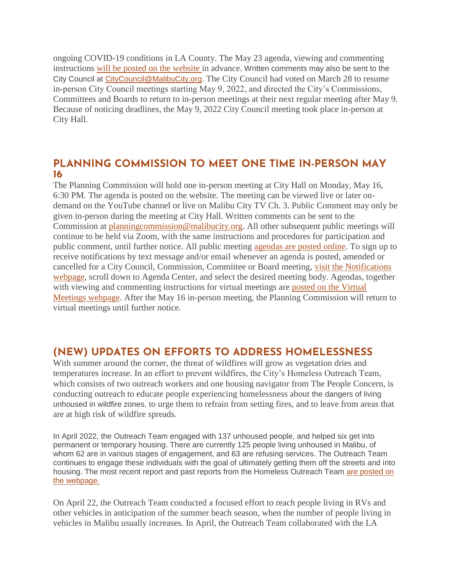ongoing COVID-19 conditions in LA County. The May 23 agenda, viewing and commenting instructions [will be posted on the website](https://www.malibucity.org/virtualmeeting) in advance. Written comments may also be sent to the City Council at [CityCouncil@MalibuCity.org.](mailto:CityCouncil@MalibuCity.org) The City Council had voted on March 28 to resume in-person City Council meetings starting May 9, 2022, and directed the City's Commissions, Committees and Boards to return to in-person meetings at their next regular meeting after May 9. Because of noticing deadlines, the May 9, 2022 City Council meeting took place in-person at City Hall.

# **PLANNING COMMISSION TO MEET ONE TIME IN-PERSON MAY 16**

The Planning Commission will hold one in-person meeting at City Hall on Monday, May 16, 6:30 PM. The agenda is posted on the website. The meeting can be viewed live or later ondemand on the YouTube channel or live on Malibu City TV Ch. 3. Public Comment may only be given in-person during the meeting at City Hall. Written comments can be sent to the Commission at [planningcommission@malibucity.org.](mailto:planningcommission@malibucity.org) All other subsequent public meetings will continue to be held via Zoom, with the same instructions and procedures for participation and public comment, until further notice. All public meeting [agendas are posted online.](http://www.malibucity.org/AgendaCenter) To sign up to receive notifications by text message and/or email whenever an agenda is posted, amended or cancelled for a City Council, Commission, Committee or Board meeting, [visit the Notifications](http://www.malibucity.org/News)  [webpage,](http://www.malibucity.org/News) scroll down to Agenda Center, and select the desired meeting body. Agendas, together with viewing and commenting instructions for virtual meetings are [posted on the Virtual](http://www.malibucity.org/VirtualMeeting)  [Meetings webpage.](http://www.malibucity.org/VirtualMeeting) After the May 16 in-person meeting, the Planning Commission will return to virtual meetings until further notice.

# **(NEW) UPDATES ON EFFORTS TO ADDRESS HOMELESSNESS**

With summer around the corner, the threat of wildfires will grow as vegetation dries and temperatures increase. In an effort to prevent wildfires, the City's Homeless Outreach Team, which consists of two outreach workers and one housing navigator from The People Concern, is conducting outreach to educate people experiencing homelessness about the dangers of living unhoused in wildfire zones, to urge them to refrain from setting fires, and to leave from areas that are at high risk of wildfire spreads.

In April 2022, the Outreach Team engaged with 137 unhoused people, and helped six get into permanent or temporary housing. There are currently 125 people living unhoused in Malibu, of whom 62 are in various stages of engagement, and 63 are refusing services. The Outreach Team continues to engage these individuals with the goal of ultimately getting them off the streets and into housing. The most recent report and past reports from the Homeless Outreach Team [are posted on](https://www.malibucity.org/1051/Outreach-Support)  [the webpage.](https://www.malibucity.org/1051/Outreach-Support)

On April 22, the Outreach Team conducted a focused effort to reach people living in RVs and other vehicles in anticipation of the summer beach season, when the number of people living in vehicles in Malibu usually increases. In April, the Outreach Team collaborated with the LA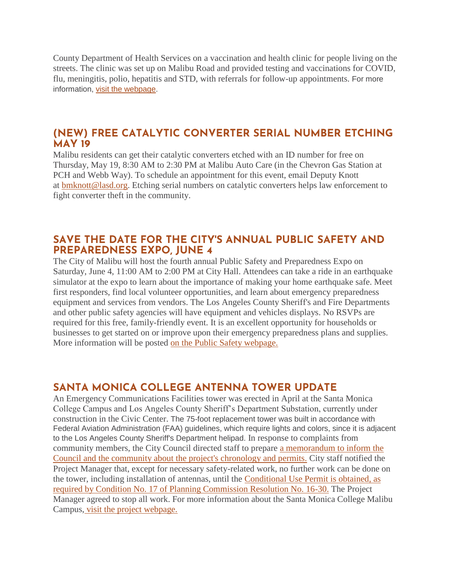County Department of Health Services on a vaccination and health clinic for people living on the streets. The clinic was set up on Malibu Road and provided testing and vaccinations for COVID, flu, meningitis, polio, hepatitis and STD, with referrals for follow-up appointments. For more information, [visit the webpage.](https://www.malibucity.org/homelessness)

#### **(NEW) FREE CATALYTIC CONVERTER SERIAL NUMBER ETCHING MAY 19**

Malibu residents can get their catalytic converters etched with an ID number for free on Thursday, May 19, 8:30 AM to 2:30 PM at Malibu Auto Care (in the Chevron Gas Station at PCH and Webb Way). To schedule an appointment for this event, email Deputy Knott at [bmknott@lasd.org.](mailto:bmknott@lasd.org) Etching serial numbers on catalytic converters helps law enforcement to fight converter theft in the community.

#### **SAVE THE DATE FOR THE CITY'S ANNUAL PUBLIC SAFETY AND PREPAREDNESS EXPO, JUNE 4**

The City of Malibu will host the fourth annual Public Safety and Preparedness Expo on Saturday, June 4, 11:00 AM to 2:00 PM at City Hall. Attendees can take a ride in an earthquake simulator at the expo to learn about the importance of making your home earthquake safe. Meet first responders, find local volunteer opportunities, and learn about emergency preparedness equipment and services from vendors. The Los Angeles County Sheriff's and Fire Departments and other public safety agencies will have equipment and vehicles displays. No RSVPs are required for this free, family-friendly event. It is an excellent opportunity for households or businesses to get started on or improve upon their emergency preparedness plans and supplies. More information will be posted [on the Public Safety webpage.](https://www.malibucity.org/publicsafety)

### **SANTA MONICA COLLEGE ANTENNA TOWER UPDATE**

An Emergency Communications Facilities tower was erected in April at the Santa Monica College Campus and Los Angeles County Sheriff's Department Substation, currently under construction in the Civic Center. The 75-foot replacement tower was built in accordance with Federal Aviation Administration (FAA) guidelines, which require lights and colors, since it is adjacent to the Los Angeles County Sheriff's Department helipad. In response to complaints from community members, the City Council directed staff to prepare [a memorandum to inform the](https://malibucity.org/DocumentCenter/View/29733/County-Tower_Sheriff-Substation)  [Council and the community about the project's chronology and permits.](https://malibucity.org/DocumentCenter/View/29733/County-Tower_Sheriff-Substation) City staff notified the Project Manager that, except for necessary safety-related work, no further work can be done on the tower, including installation of antennas, until the [Conditional Use Permit is obtained, as](https://malibucity.org/DocumentCenter/View/12783/Planning-Commission-Resolution-No-16-30?bidId=)  [required by Condition No. 17 of Planning Commission Resolution No. 16-30.](https://malibucity.org/DocumentCenter/View/12783/Planning-Commission-Resolution-No-16-30?bidId=) The Project Manager agreed to stop all work. For more information about the Santa Monica College Malibu Campus, [visit the project webpage.](https://www.malibucity.org/400/Santa-Monica-College---Malibu-Campus-Pro)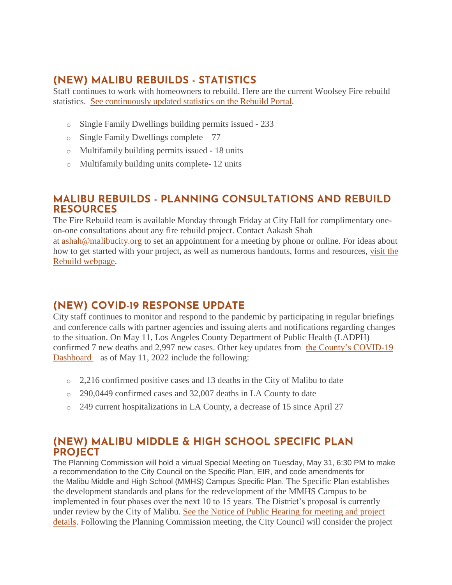# **(NEW) MALIBU REBUILDS - STATISTICS**

Staff continues to work with homeowners to rebuild. Here are the current Woolsey Fire rebuild statistics. [See continuously updated statistics on the Rebuild Portal.](https://malibupermits.ci.malibu.ca.us/WoolseyRebuildStats.aspx?returnId=901)

- o Single Family Dwellings building permits issued 233
- o Single Family Dwellings complete 77
- o Multifamily building permits issued 18 units
- o Multifamily building units complete- 12 units

### **MALIBU REBUILDS - PLANNING CONSULTATIONS AND REBUILD RESOURCES**

The Fire Rebuild team is available Monday through Friday at City Hall for complimentary oneon-one consultations about any fire rebuild project. Contact Aakash Shah

at [ashah@malibucity.org](mailto:ashah@malibucity.org) to set an appointment for a meeting by phone or online. For ideas about how to get started with your project, as well as numerous handouts, forms and resources, [visit the](https://www.malibucity.org/901/Malibu-Rebuilds)  [Rebuild webpage.](https://www.malibucity.org/901/Malibu-Rebuilds)

# **(NEW) COVID-19 RESPONSE UPDATE**

City staff continues to monitor and respond to the pandemic by participating in regular briefings and conference calls with partner agencies and issuing alerts and notifications regarding changes to the situation. On May 11, Los Angeles County Department of Public Health (LADPH) confirmed 7 new deaths and 2,997 new cases. Other key updates from [the County's COVID-19](http://publichealth.lacounty.gov/media/coronavirus/data/index.htm)  [Dashboard](http://publichealth.lacounty.gov/media/coronavirus/data/index.htm) as of May 11, 2022 include the following:

- $\circ$  2,216 confirmed positive cases and 13 deaths in the City of Malibu to date
- o 290,0449 confirmed cases and 32,007 deaths in LA County to date
- o 249 current hospitalizations in LA County, a decrease of 15 since April 27

# **(NEW) MALIBU MIDDLE & HIGH SCHOOL SPECIFIC PLAN PROJECT**

The Planning Commission will hold a virtual Special Meeting on Tuesday, May 31, 6:30 PM to make a recommendation to the City Council on the Specific Plan, EIR, and code amendments for the Malibu Middle and High School (MMHS) Campus Specific Plan. The Specific Plan establishes the development standards and plans for the redevelopment of the MMHS Campus to be implemented in four phases over the next 10 to 15 years. The District's proposal is currently under review by the City of Malibu. [See the Notice of Public Hearing for meeting and project](https://malibucity.org/DocumentCenter/View/29747/MMHS-Specific-Plan_Notice-of-Public-Hearing)  [details.](https://malibucity.org/DocumentCenter/View/29747/MMHS-Specific-Plan_Notice-of-Public-Hearing) Following the Planning Commission meeting, the City Council will consider the project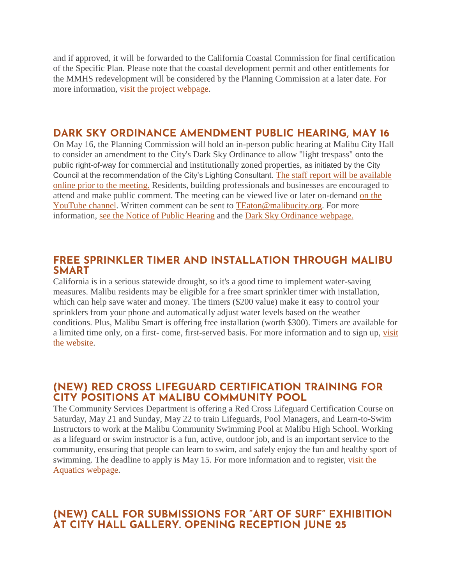and if approved, it will be forwarded to the California Coastal Commission for final certification of the Specific Plan. Please note that the coastal development permit and other entitlements for the MMHS redevelopment will be considered by the Planning Commission at a later date. For more information, [visit the project webpage.](https://www.malibucity.org/397/Malibu-Middle-High-School-Improvements)

#### **DARK SKY ORDINANCE AMENDMENT PUBLIC HEARING, MAY 16**

On May 16, the Planning Commission will hold an in-person public hearing at Malibu City Hall to consider an amendment to the City's Dark Sky Ordinance to allow "light trespass" onto the public right-of-way for commercial and institutionally zoned properties, as initiated by the City Council at the recommendation of the City's Lighting Consultant. [The staff report will be available](https://www.malibucity.org/agendacenter)  [online prior to the meeting.](https://www.malibucity.org/agendacenter) Residents, building professionals and businesses are encouraged to attend and make public comment. The meeting can be viewed live or later on-demand [on the](https://www.youtube.com/user/CityofMalibu/videos)  [YouTube channel.](https://www.youtube.com/user/CityofMalibu/videos) Written comment can be sent to [TEaton@malibucity.org.](mailto:TEaton@malibucity.org) For more information, [see the Notice of Public Hearing](https://malibucity.org/DocumentCenter/View/29678/PHN_Dark-Sky-Ordinance) and the [Dark Sky Ordinance webpage.](https://www.malibucity.org/darksky)

#### **FREE SPRINKLER TIMER AND INSTALLATION THROUGH MALIBU SMART**

California is in a serious statewide drought, so it's a good time to implement water-saving measures. Malibu residents may be eligible for a free smart sprinkler timer with installation, which can help save water and money. The timers (\$200 value) make it easy to control your sprinklers from your phone and automatically adjust water levels based on the weather conditions. Plus, Malibu Smart is offering free installation (worth \$300). Timers are available for a limited time only, on a first- come, first-served basis. For more information and to sign up, [visit](https://1num06zo47s.typeform.com/to/TA28QGIC)  [the website.](https://1num06zo47s.typeform.com/to/TA28QGIC)

### **(NEW) RED CROSS LIFEGUARD CERTIFICATION TRAINING FOR CITY POSITIONS AT MALIBU COMMUNITY POOL**

The Community Services Department is offering a Red Cross Lifeguard Certification Course on Saturday, May 21 and Sunday, May 22 to train Lifeguards, Pool Managers, and Learn-to-Swim Instructors to work at the Malibu Community Swimming Pool at Malibu High School. Working as a lifeguard or swim instructor is a fun, active, outdoor job, and is an important service to the community, ensuring that people can learn to swim, and safely enjoy the fun and healthy sport of swimming. The deadline to apply is May 15. For more information and to register, [visit the](https://www.malibucity.org/aquatics)  [Aquatics webpage.](https://www.malibucity.org/aquatics)

### **(NEW) CALL FOR SUBMISSIONS FOR "ART OF SURF" EXHIBITION AT CITY HALL GALLERY. OPENING RECEPTION JUNE 25**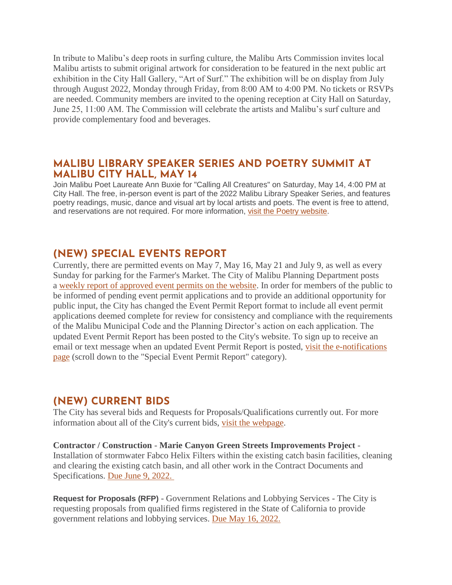In tribute to Malibu's deep roots in surfing culture, the Malibu Arts Commission invites local Malibu artists to submit original artwork for consideration to be featured in the next public art exhibition in the City Hall Gallery, "Art of Surf." The exhibition will be on display from July through August 2022, Monday through Friday, from 8:00 AM to 4:00 PM. No tickets or RSVPs are needed. Community members are invited to the opening reception at City Hall on Saturday, June 25, 11:00 AM. The Commission will celebrate the artists and Malibu's surf culture and provide complementary food and beverages.

#### **MALIBU LIBRARY SPEAKER SERIES AND POETRY SUMMIT AT MALIBU CITY HALL, MAY 14**

Join Malibu Poet Laureate Ann Buxie for "Calling All Creatures" on Saturday, May 14, 4:00 PM at City Hall. The free, in-person event is part of the 2022 Malibu Library Speaker Series, and features poetry readings, music, dance and visual art by local artists and poets. The event is free to attend, and reservations are not required. For more information, [visit the Poetry website.](https://www.malibucity.org/poetry)

### **(NEW) SPECIAL EVENTS REPORT**

Currently, there are permitted events on May 7, May 16, May 21 and July 9, as well as every Sunday for parking for the Farmer's Market. The City of Malibu Planning Department posts a [weekly report of approved event permits on the website.](https://www.malibucity.org/DocumentCenter/View/24661/Permitted-Events) In order for members of the public to be informed of pending event permit applications and to provide an additional opportunity for public input, the City has changed the Event Permit Report format to include all event permit applications deemed complete for review for consistency and compliance with the requirements of the Malibu Municipal Code and the Planning Director's action on each application. The updated Event Permit Report has been posted to the City's website. To sign up to receive an email or text message when an updated Event Permit Report is posted, [visit the e-notifications](https://www.malibucity.org/news)  [page](https://www.malibucity.org/news) (scroll down to the "Special Event Permit Report" category).

### **(NEW) CURRENT BIDS**

The City has several bids and Requests for Proposals/Qualifications currently out. For more information about all of the City's current bids, [visit the webpage.](https://www.malibucity.org/bids)

#### **Contractor / Construction** - **Marie Canyon Green Streets Improvements Project** - Installation of stormwater Fabco Helix Filters within the existing catch basin facilities, cleaning and clearing the existing catch basin, and all other work in the Contract Documents and Specifications. [Due June 9, 2022.](https://malibucity.org/bids.aspx?bidID=190)

**Request for Proposals (RFP)** - Government Relations and Lobbying Services - The City is requesting proposals from qualified firms registered in the State of California to provide government relations and lobbying services. [Due May 16, 2022.](https://www.malibucity.org/bids.aspx?bidID=189)